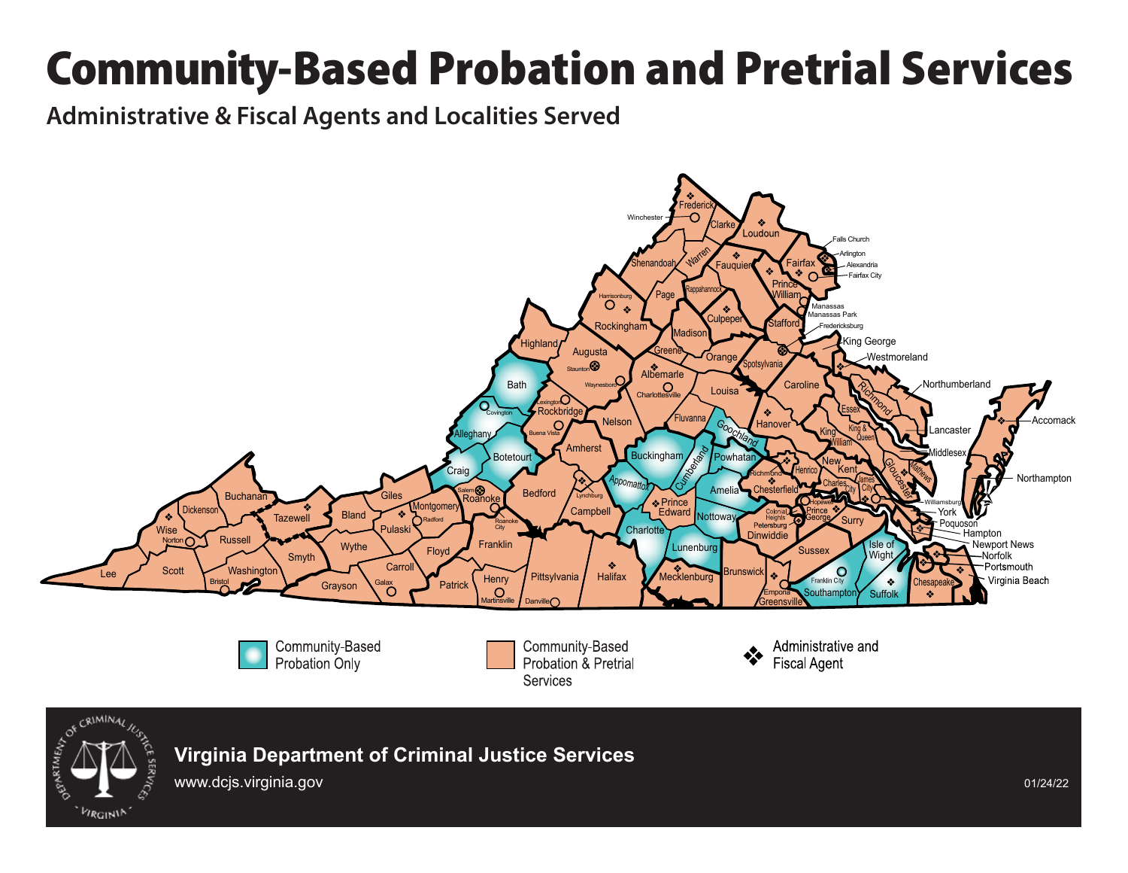## Community-Based Probation and Pretrial Services

Administrative & Fiscal Agents and Localities Served





**Virginia Department of Criminal Justice Services**

www.dcjs.virginia.gov 01/24/22